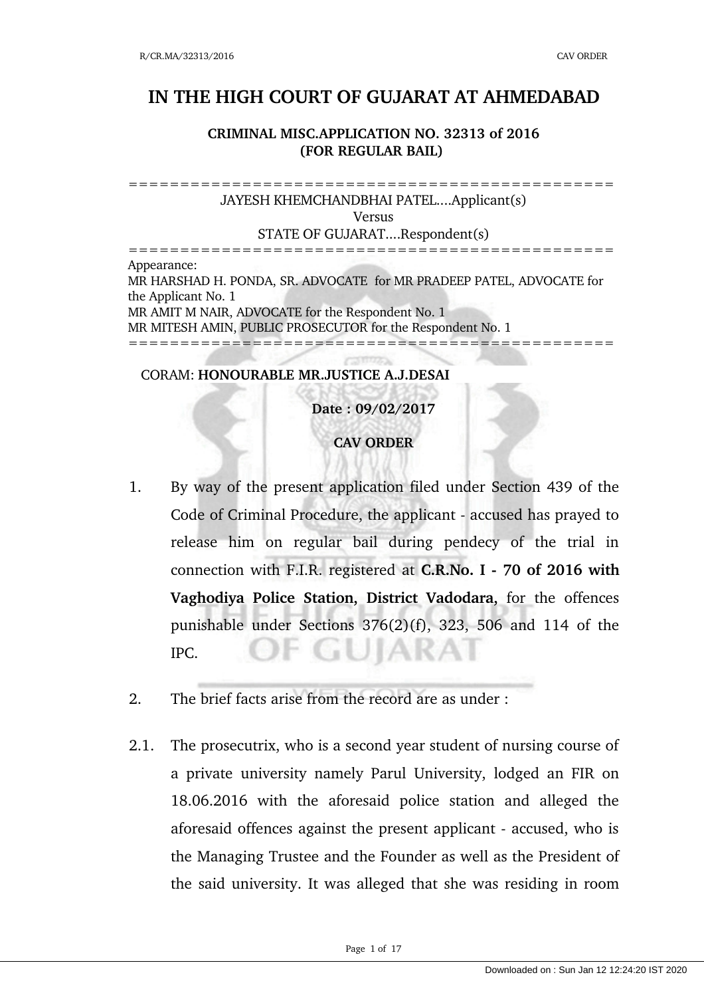## **IN THE HIGH COURT OF GUJARAT AT AHMEDABAD**

## **CRIMINAL MISC.APPLICATION NO. 32313 of 2016 (FOR REGULAR BAIL)**

=============================================== JAYESH KHEMCHANDBHAI PATEL....Applicant(s) Versus STATE OF GUJARAT....Respondent(s) ===============================================

Appearance: MR HARSHAD H. PONDA, SR. ADVOCATE for MR PRADEEP PATEL, ADVOCATE for the Applicant No. 1 MR AMIT M NAIR, ADVOCATE for the Respondent No. 1 MR MITESH AMIN, PUBLIC PROSECUTOR for the Respondent No. 1 ===============================================

## CORAM: **HONOURABLE MR.JUSTICE A.J.DESAI**

**Date : 09/02/2017 CAV ORDER**

- 1. By way of the present application filed under Section 439 of the Code of Criminal Procedure, the applicant - accused has prayed to release him on regular bail during pendecy of the trial in connection with F.I.R. registered at **C.R.No. I 70 of 2016 with Vaghodiya Police Station, District Vadodara,** for the offences punishable under Sections 376(2)(f), 323, 506 and 114 of the · GUIARAI IPC.
- 2. The brief facts arise from the record are as under :
- 2.1. The prosecutrix, who is a second year student of nursing course of a private university namely Parul University, lodged an FIR on 18.06.2016 with the aforesaid police station and alleged the aforesaid offences against the present applicant accused, who is the Managing Trustee and the Founder as well as the President of the said university. It was alleged that she was residing in room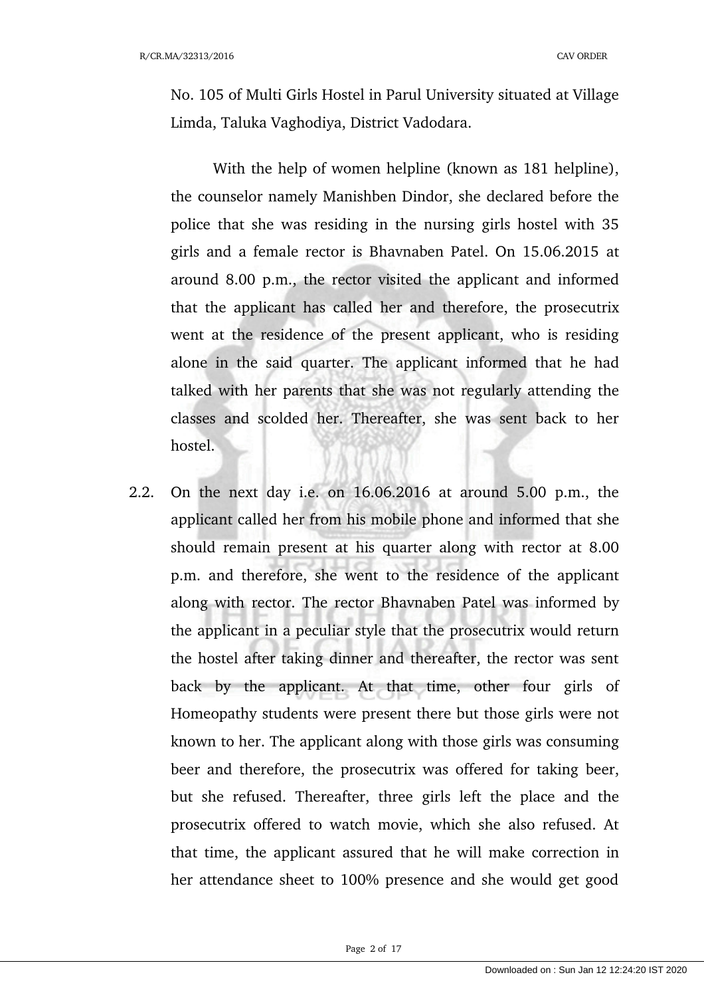No. 105 of Multi Girls Hostel in Parul University situated at Village Limda, Taluka Vaghodiya, District Vadodara.

With the help of women helpline (known as 181 helpline), the counselor namely Manishben Dindor, she declared before the police that she was residing in the nursing girls hostel with 35 girls and a female rector is Bhavnaben Patel. On 15.06.2015 at around 8.00 p.m., the rector visited the applicant and informed that the applicant has called her and therefore, the prosecutrix went at the residence of the present applicant, who is residing alone in the said quarter. The applicant informed that he had talked with her parents that she was not regularly attending the classes and scolded her. Thereafter, she was sent back to her hostel.

2.2. On the next day i.e. on 16.06.2016 at around 5.00 p.m., the applicant called her from his mobile phone and informed that she should remain present at his quarter along with rector at 8.00 p.m. and therefore, she went to the residence of the applicant along with rector. The rector Bhavnaben Patel was informed by the applicant in a peculiar style that the prosecutrix would return the hostel after taking dinner and thereafter, the rector was sent back by the applicant. At that time, other four girls of Homeopathy students were present there but those girls were not known to her. The applicant along with those girls was consuming beer and therefore, the prosecutrix was offered for taking beer, but she refused. Thereafter, three girls left the place and the prosecutrix offered to watch movie, which she also refused. At that time, the applicant assured that he will make correction in her attendance sheet to 100% presence and she would get good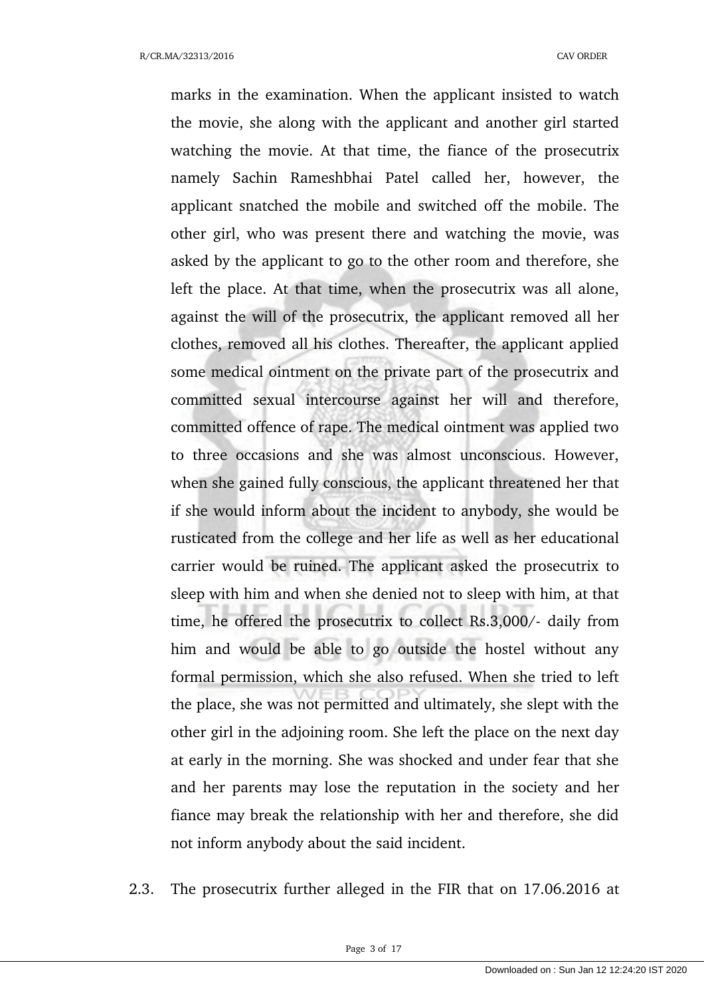marks in the examination. When the applicant insisted to watch the movie, she along with the applicant and another girl started watching the movie. At that time, the fiance of the prosecutrix namely Sachin Rameshbhai Patel called her, however, the applicant snatched the mobile and switched off the mobile. The other girl, who was present there and watching the movie, was asked by the applicant to go to the other room and therefore, she left the place. At that time, when the prosecutrix was all alone, against the will of the prosecutrix, the applicant removed all her clothes, removed all his clothes. Thereafter, the applicant applied some medical ointment on the private part of the prosecutrix and committed sexual intercourse against her will and therefore, committed offence of rape. The medical ointment was applied two to three occasions and she was almost unconscious. However, when she gained fully conscious, the applicant threatened her that if she would inform about the incident to anybody, she would be rusticated from the college and her life as well as her educational carrier would be ruined. The applicant asked the prosecutrix to sleep with him and when she denied not to sleep with him, at that time, he offered the prosecutrix to collect Rs.3,000/- daily from him and would be able to go outside the hostel without any formal permission, which she also refused. When she tried to left the place, she was not permitted and ultimately, she slept with the other girl in the adjoining room. She left the place on the next day at early in the morning. She was shocked and under fear that she and her parents may lose the reputation in the society and her fiance may break the relationship with her and therefore, she did not inform anybody about the said incident.

2.3. The prosecutrix further alleged in the FIR that on 17.06.2016 at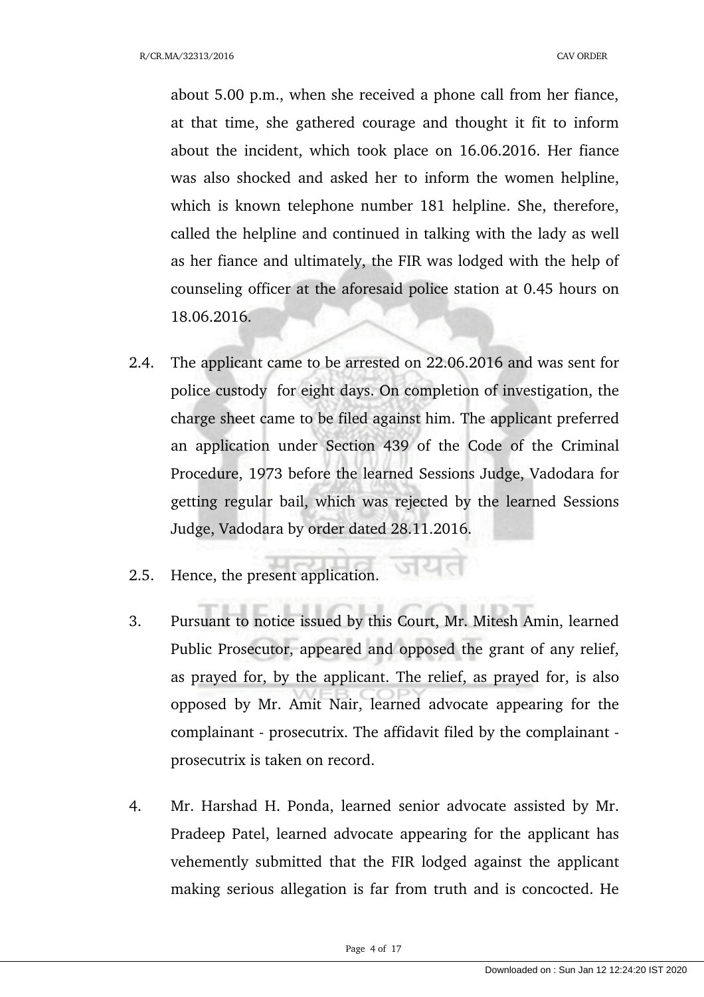about 5.00 p.m., when she received a phone call from her fiance, at that time, she gathered courage and thought it fit to inform about the incident, which took place on 16.06.2016. Her fiance was also shocked and asked her to inform the women helpline, which is known telephone number 181 helpline. She, therefore, called the helpline and continued in talking with the lady as well as her fiance and ultimately, the FIR was lodged with the help of counseling officer at the aforesaid police station at 0.45 hours on 18.06.2016.

- 2.4. The applicant came to be arrested on 22.06.2016 and was sent for police custody for eight days. On completion of investigation, the charge sheet came to be filed against him. The applicant preferred an application under Section 439 of the Code of the Criminal Procedure, 1973 before the learned Sessions Judge, Vadodara for getting regular bail, which was rejected by the learned Sessions Judge, Vadodara by order dated 28.11.2016.
- 2.5. Hence, the present application.
- 3. Pursuant to notice issued by this Court, Mr. Mitesh Amin, learned Public Prosecutor, appeared and opposed the grant of any relief, as prayed for, by the applicant. The relief, as prayed for, is also opposed by Mr. Amit Nair, learned advocate appearing for the complainant - prosecutrix. The affidavit filed by the complainant prosecutrix is taken on record.
- 4. Mr. Harshad H. Ponda, learned senior advocate assisted by Mr. Pradeep Patel, learned advocate appearing for the applicant has vehemently submitted that the FIR lodged against the applicant making serious allegation is far from truth and is concocted. He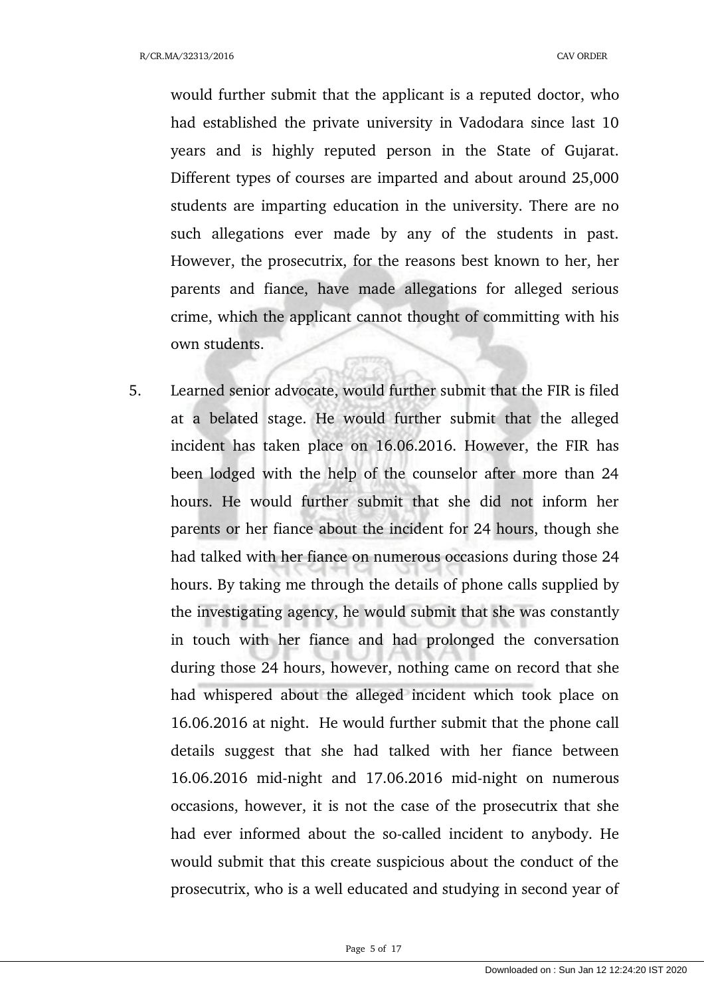would further submit that the applicant is a reputed doctor, who had established the private university in Vadodara since last 10 years and is highly reputed person in the State of Gujarat. Different types of courses are imparted and about around 25,000 students are imparting education in the university. There are no such allegations ever made by any of the students in past. However, the prosecutrix, for the reasons best known to her, her parents and fiance, have made allegations for alleged serious crime, which the applicant cannot thought of committing with his own students.

5. Learned senior advocate, would further submit that the FIR is filed at a belated stage. He would further submit that the alleged incident has taken place on 16.06.2016. However, the FIR has been lodged with the help of the counselor after more than 24 hours. He would further submit that she did not inform her parents or her fiance about the incident for 24 hours, though she had talked with her fiance on numerous occasions during those 24 hours. By taking me through the details of phone calls supplied by the investigating agency, he would submit that she was constantly in touch with her fiance and had prolonged the conversation during those 24 hours, however, nothing came on record that she had whispered about the alleged incident which took place on 16.06.2016 at night. He would further submit that the phone call details suggest that she had talked with her fiance between  $16.06.2016$  mid-night and  $17.06.2016$  mid-night on numerous occasions, however, it is not the case of the prosecutrix that she had ever informed about the so-called incident to anybody. He would submit that this create suspicious about the conduct of the prosecutrix, who is a well educated and studying in second year of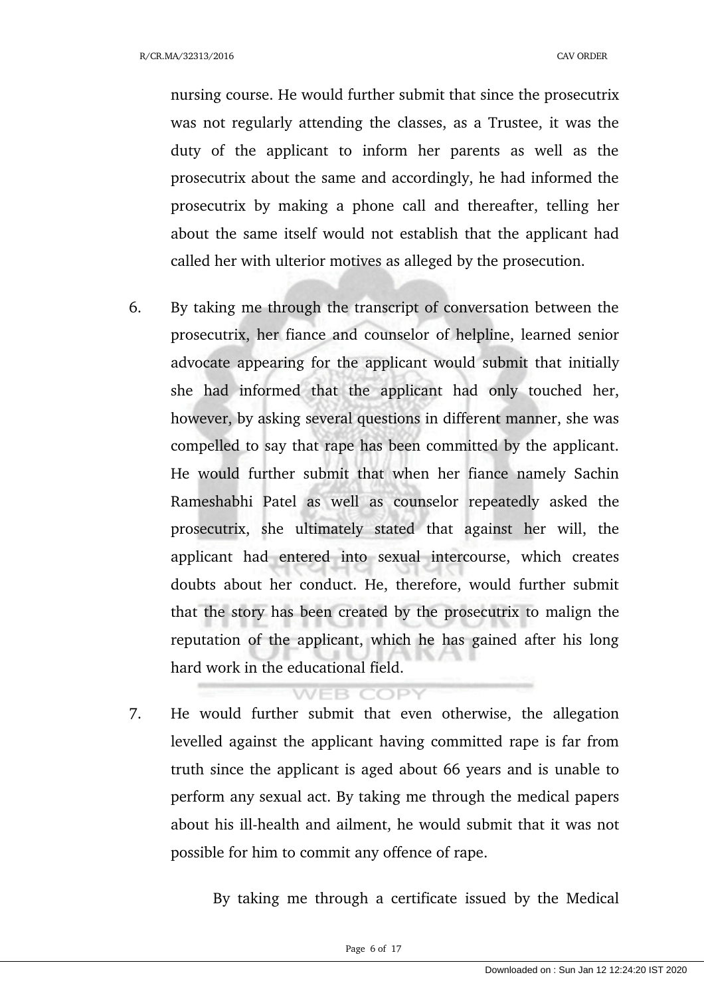nursing course. He would further submit that since the prosecutrix was not regularly attending the classes, as a Trustee, it was the duty of the applicant to inform her parents as well as the prosecutrix about the same and accordingly, he had informed the prosecutrix by making a phone call and thereafter, telling her about the same itself would not establish that the applicant had called her with ulterior motives as alleged by the prosecution.

6. By taking me through the transcript of conversation between the prosecutrix, her fiance and counselor of helpline, learned senior advocate appearing for the applicant would submit that initially she had informed that the applicant had only touched her, however, by asking several questions in different manner, she was compelled to say that rape has been committed by the applicant. He would further submit that when her fiance namely Sachin Rameshabhi Patel as well as counselor repeatedly asked the prosecutrix, she ultimately stated that against her will, the applicant had entered into sexual intercourse, which creates doubts about her conduct. He, therefore, would further submit that the story has been created by the prosecutrix to malign the reputation of the applicant, which he has gained after his long hard work in the educational field.

## **VEB COPY**

7. He would further submit that even otherwise, the allegation levelled against the applicant having committed rape is far from truth since the applicant is aged about 66 years and is unable to perform any sexual act. By taking me through the medical papers about his ill-health and ailment, he would submit that it was not possible for him to commit any offence of rape.

By taking me through a certificate issued by the Medical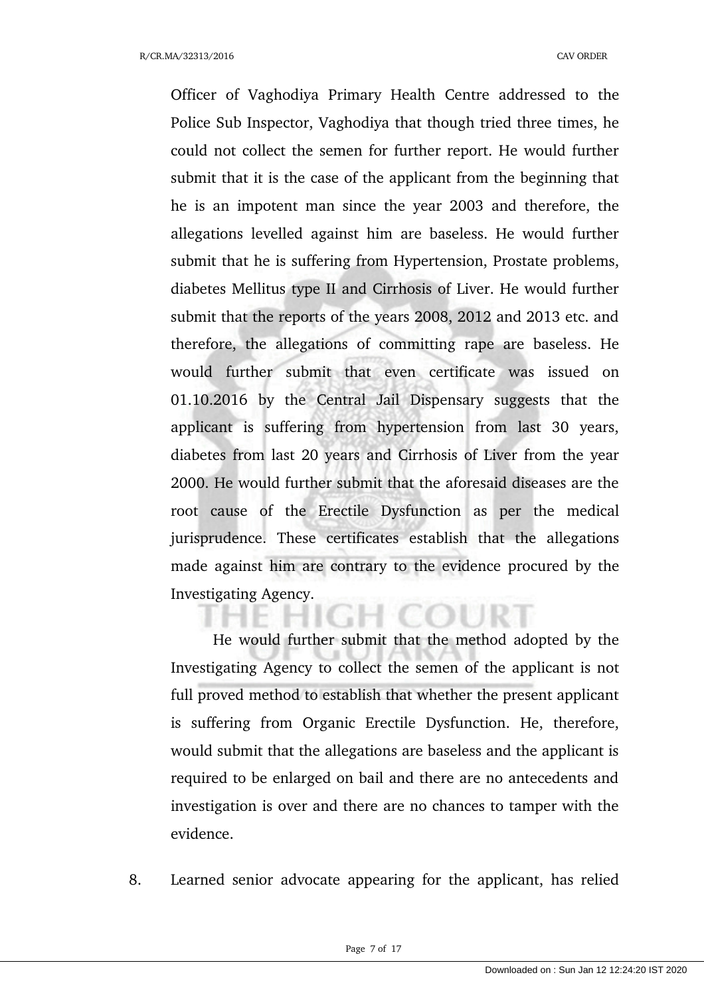Officer of Vaghodiya Primary Health Centre addressed to the Police Sub Inspector, Vaghodiya that though tried three times, he could not collect the semen for further report. He would further submit that it is the case of the applicant from the beginning that he is an impotent man since the year 2003 and therefore, the allegations levelled against him are baseless. He would further submit that he is suffering from Hypertension, Prostate problems, diabetes Mellitus type II and Cirrhosis of Liver. He would further submit that the reports of the years 2008, 2012 and 2013 etc. and therefore, the allegations of committing rape are baseless. He would further submit that even certificate was issued on 01.10.2016 by the Central Jail Dispensary suggests that the applicant is suffering from hypertension from last 30 years, diabetes from last 20 years and Cirrhosis of Liver from the year 2000. He would further submit that the aforesaid diseases are the root cause of the Erectile Dysfunction as per the medical jurisprudence. These certificates establish that the allegations made against him are contrary to the evidence procured by the Investigating Agency.

He would further submit that the method adopted by the Investigating Agency to collect the semen of the applicant is not full proved method to establish that whether the present applicant is suffering from Organic Erectile Dysfunction. He, therefore, would submit that the allegations are baseless and the applicant is required to be enlarged on bail and there are no antecedents and investigation is over and there are no chances to tamper with the evidence.

8. Learned senior advocate appearing for the applicant, has relied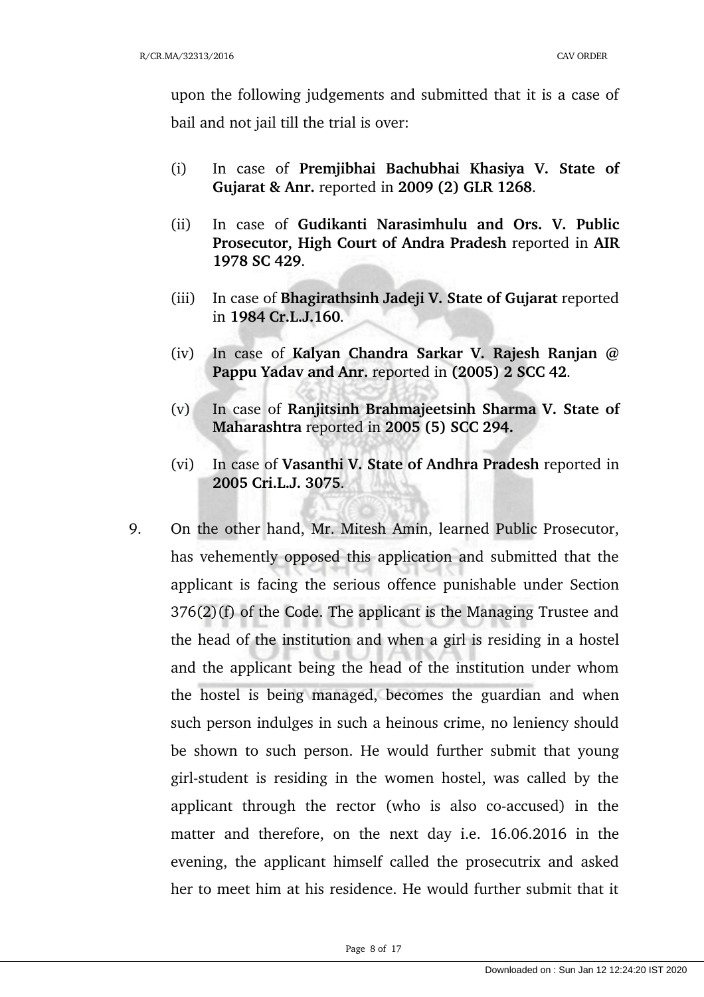upon the following judgements and submitted that it is a case of bail and not jail till the trial is over:

- (i) In case of **Premjibhai Bachubhai Khasiya V. State of Gujarat & Anr.** reported in **2009 (2) GLR 1268**.
- (ii) In case of **Gudikanti Narasimhulu and Ors. V. Public Prosecutor, High Court of Andra Pradesh** reported in **AIR 1978 SC 429**.
- (iii) In case of **Bhagirathsinh Jadeji V. State of Gujarat** reported in **1984 Cr.L.J.160**.
- (iv) In case of **Kalyan Chandra Sarkar V. Rajesh Ranjan @ Pappu Yadav and Anr.** reported in **(2005) 2 SCC 42**.
- (v) In case of **Ranjitsinh Brahmajeetsinh Sharma V. State of Maharashtra** reported in **2005 (5) SCC 294.**
- (vi) In case of **Vasanthi V. State of Andhra Pradesh** reported in **2005 Cri.L.J. 3075**.
- 9. On the other hand, Mr. Mitesh Amin, learned Public Prosecutor, has vehemently opposed this application and submitted that the applicant is facing the serious offence punishable under Section 376(2)(f) of the Code. The applicant is the Managing Trustee and the head of the institution and when a girl is residing in a hostel and the applicant being the head of the institution under whom the hostel is being managed, becomes the guardian and when such person indulges in such a heinous crime, no leniency should be shown to such person. He would further submit that young girl-student is residing in the women hostel, was called by the applicant through the rector (who is also co-accused) in the matter and therefore, on the next day i.e. 16.06.2016 in the evening, the applicant himself called the prosecutrix and asked her to meet him at his residence. He would further submit that it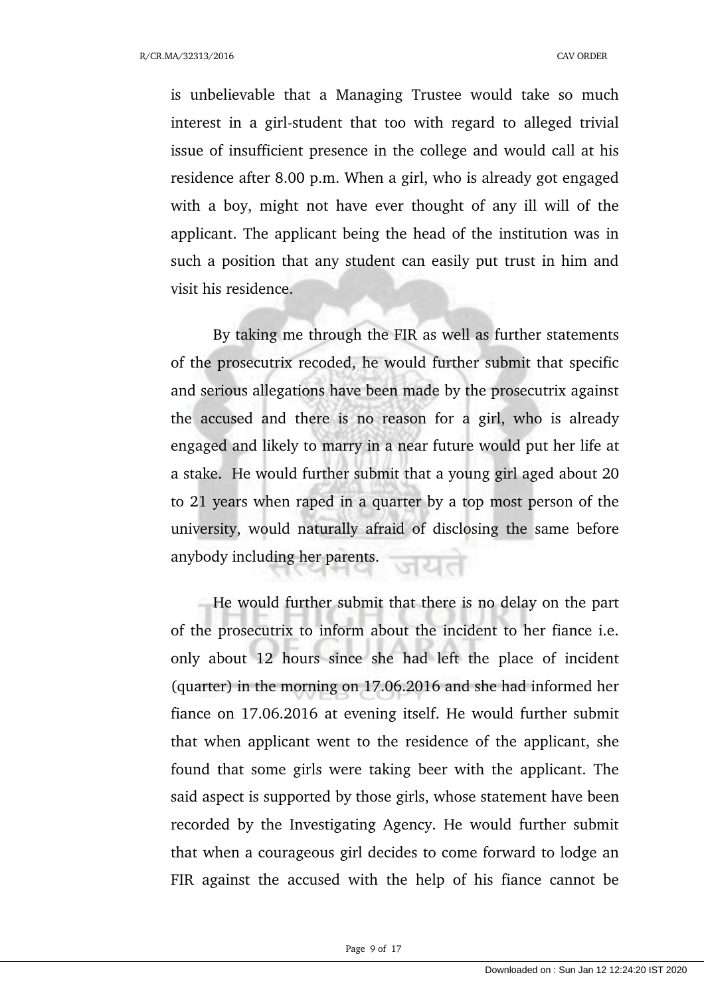R/CR.MA/32313/2016 CAV ORDER

is unbelievable that a Managing Trustee would take so much interest in a girl-student that too with regard to alleged trivial issue of insufficient presence in the college and would call at his residence after 8.00 p.m. When a girl, who is already got engaged with a boy, might not have ever thought of any ill will of the applicant. The applicant being the head of the institution was in such a position that any student can easily put trust in him and visit his residence.

By taking me through the FIR as well as further statements of the prosecutrix recoded, he would further submit that specific and serious allegations have been made by the prosecutrix against the accused and there is no reason for a girl, who is already engaged and likely to marry in a near future would put her life at a stake. He would further submit that a young girl aged about 20 to 21 years when raped in a quarter by a top most person of the university, would naturally afraid of disclosing the same before anybody including her parents.

He would further submit that there is no delay on the part of the prosecutrix to inform about the incident to her fiance i.e. only about 12 hours since she had left the place of incident (quarter) in the morning on 17.06.2016 and she had informed her fiance on 17.06.2016 at evening itself. He would further submit that when applicant went to the residence of the applicant, she found that some girls were taking beer with the applicant. The said aspect is supported by those girls, whose statement have been recorded by the Investigating Agency. He would further submit that when a courageous girl decides to come forward to lodge an FIR against the accused with the help of his fiance cannot be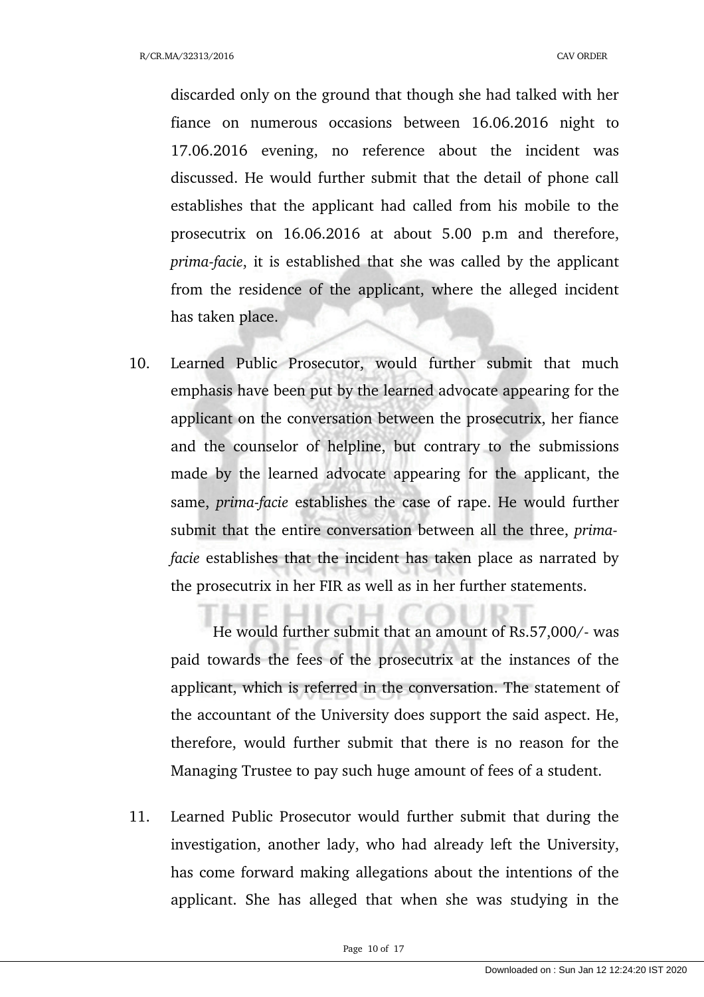discarded only on the ground that though she had talked with her fiance on numerous occasions between 16.06.2016 night to 17.06.2016 evening, no reference about the incident was discussed. He would further submit that the detail of phone call establishes that the applicant had called from his mobile to the prosecutrix on 16.06.2016 at about 5.00 p.m and therefore, *prima-facie*, it is established that she was called by the applicant from the residence of the applicant, where the alleged incident has taken place.

10. Learned Public Prosecutor, would further submit that much emphasis have been put by the learned advocate appearing for the applicant on the conversation between the prosecutrix, her fiance and the counselor of helpline, but contrary to the submissions made by the learned advocate appearing for the applicant, the same, *prima-facie* establishes the case of rape. He would further submit that the entire conversation between all the three, *primafacie* establishes that the incident has taken place as narrated by the prosecutrix in her FIR as well as in her further statements.

He would further submit that an amount of Rs.57,000/- was paid towards the fees of the prosecutrix at the instances of the applicant, which is referred in the conversation. The statement of the accountant of the University does support the said aspect. He, therefore, would further submit that there is no reason for the Managing Trustee to pay such huge amount of fees of a student.

11. Learned Public Prosecutor would further submit that during the investigation, another lady, who had already left the University, has come forward making allegations about the intentions of the applicant. She has alleged that when she was studying in the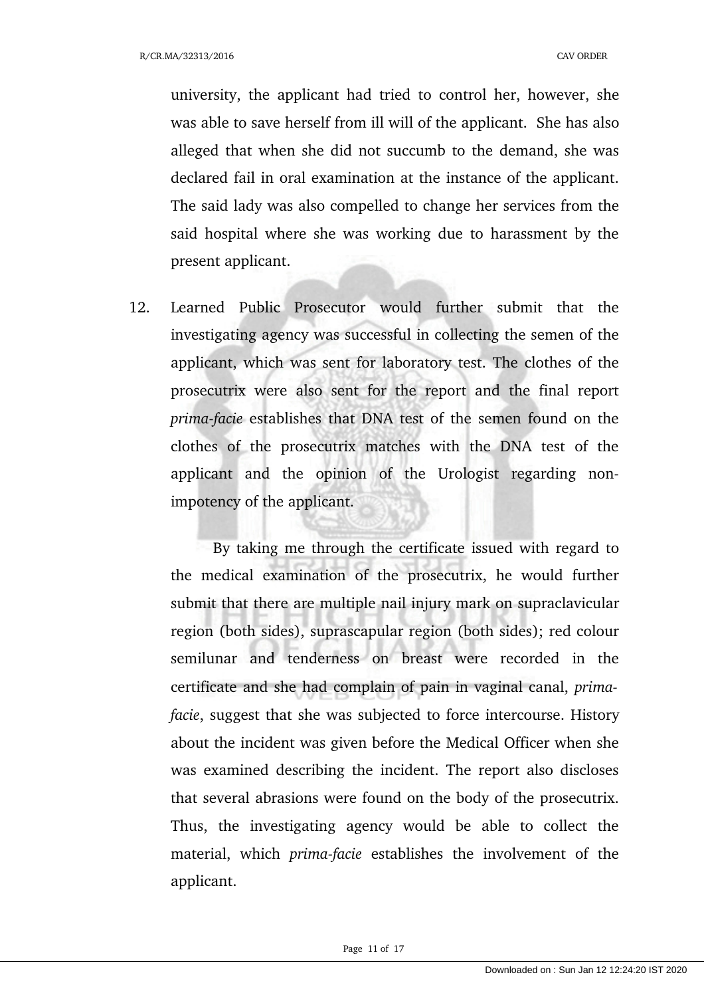university, the applicant had tried to control her, however, she was able to save herself from ill will of the applicant. She has also alleged that when she did not succumb to the demand, she was declared fail in oral examination at the instance of the applicant. The said lady was also compelled to change her services from the said hospital where she was working due to harassment by the present applicant.

12. Learned Public Prosecutor would further submit that the investigating agency was successful in collecting the semen of the applicant, which was sent for laboratory test. The clothes of the prosecutrix were also sent for the report and the final report *prima-facie* establishes that DNA test of the semen found on the clothes of the prosecutrix matches with the DNA test of the applicant and the opinion of the Urologist regarding nonimpotency of the applicant.

By taking me through the certificate issued with regard to the medical examination of the prosecutrix, he would further submit that there are multiple nail injury mark on supraclavicular region (both sides), suprascapular region (both sides); red colour semilunar and tenderness on breast were recorded in the certificate and she had complain of pain in vaginal canal, *primafacie*, suggest that she was subjected to force intercourse. History about the incident was given before the Medical Officer when she was examined describing the incident. The report also discloses that several abrasions were found on the body of the prosecutrix. Thus, the investigating agency would be able to collect the material, which *prima-facie* establishes the involvement of the applicant.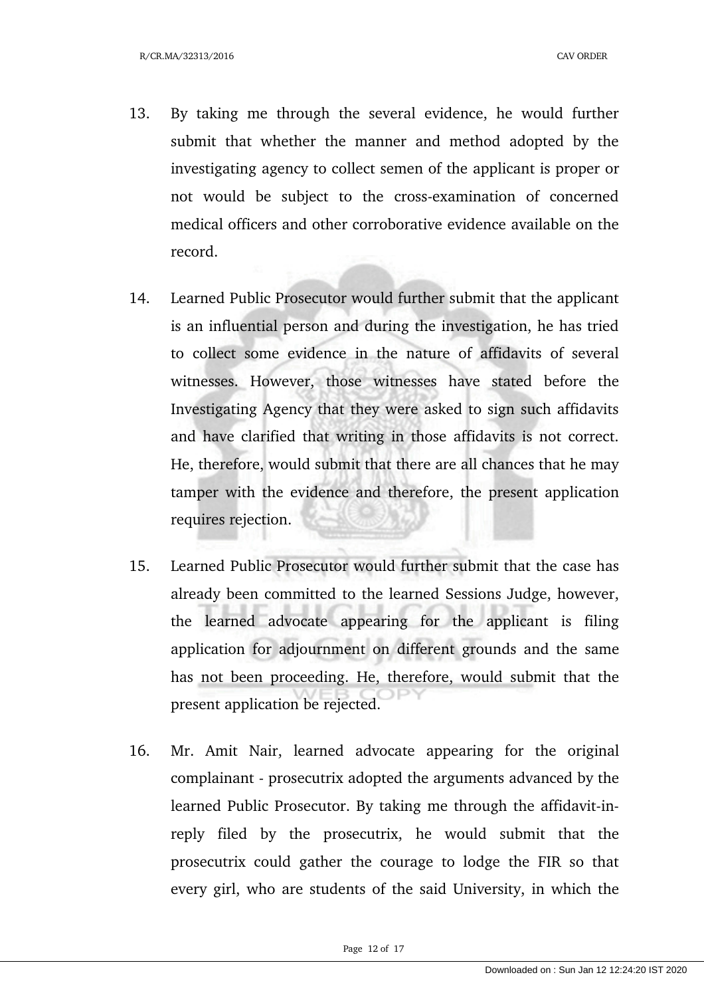- 13. By taking me through the several evidence, he would further submit that whether the manner and method adopted by the investigating agency to collect semen of the applicant is proper or not would be subject to the cross-examination of concerned medical officers and other corroborative evidence available on the record.
- 14. Learned Public Prosecutor would further submit that the applicant is an influential person and during the investigation, he has tried to collect some evidence in the nature of affidavits of several witnesses. However, those witnesses have stated before the Investigating Agency that they were asked to sign such affidavits and have clarified that writing in those affidavits is not correct. He, therefore, would submit that there are all chances that he may tamper with the evidence and therefore, the present application requires rejection.
- 15. Learned Public Prosecutor would further submit that the case has already been committed to the learned Sessions Judge, however, the learned advocate appearing for the applicant is filing application for adjournment on different grounds and the same has not been proceeding. He, therefore, would submit that the present application be rejected.
- 16. Mr. Amit Nair, learned advocate appearing for the original complainant - prosecutrix adopted the arguments advanced by the learned Public Prosecutor. By taking me through the affidavit-inreply filed by the prosecutrix, he would submit that the prosecutrix could gather the courage to lodge the FIR so that every girl, who are students of the said University, in which the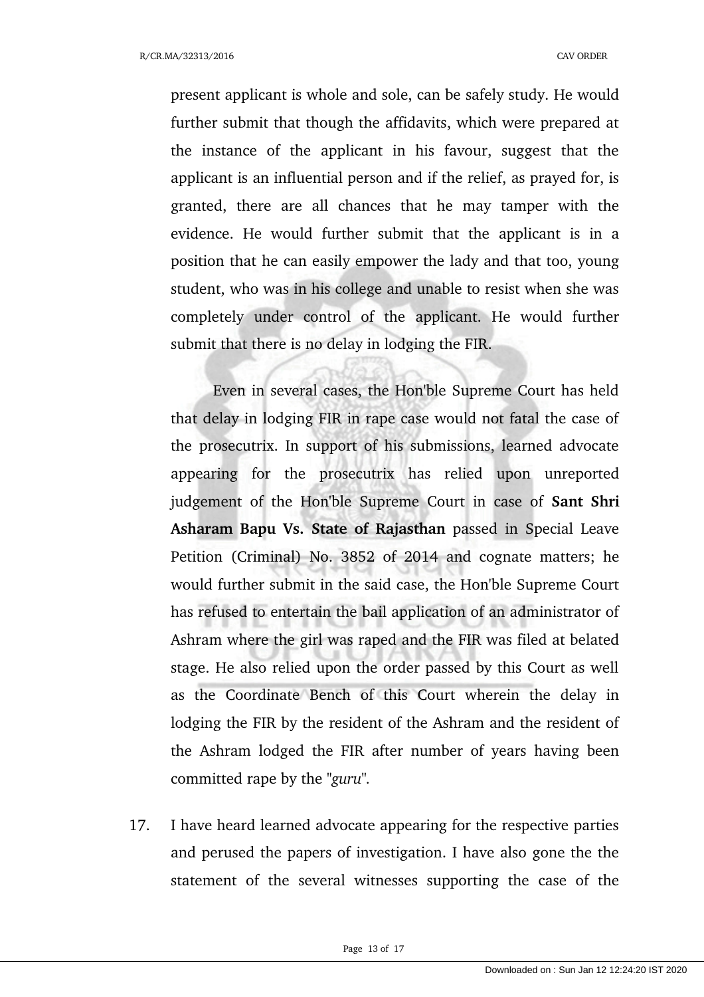present applicant is whole and sole, can be safely study. He would further submit that though the affidavits, which were prepared at the instance of the applicant in his favour, suggest that the applicant is an influential person and if the relief, as prayed for, is granted, there are all chances that he may tamper with the evidence. He would further submit that the applicant is in a position that he can easily empower the lady and that too, young student, who was in his college and unable to resist when she was completely under control of the applicant. He would further submit that there is no delay in lodging the FIR.

Even in several cases, the Hon'ble Supreme Court has held that delay in lodging FIR in rape case would not fatal the case of the prosecutrix. In support of his submissions, learned advocate appearing for the prosecutrix has relied upon unreported judgement of the Hon'ble Supreme Court in case of **Sant Shri** Asharam Bapu Vs. State of Rajasthan passed in Special Leave Petition (Criminal) No. 3852 of 2014 and cognate matters; he would further submit in the said case, the Hon'ble Supreme Court has refused to entertain the bail application of an administrator of Ashram where the girl was raped and the FIR was filed at belated stage. He also relied upon the order passed by this Court as well as the Coordinate Bench of this Court wherein the delay in lodging the FIR by the resident of the Ashram and the resident of the Ashram lodged the FIR after number of years having been committed rape by the *"guru".*

17. I have heard learned advocate appearing for the respective parties and perused the papers of investigation. I have also gone the the statement of the several witnesses supporting the case of the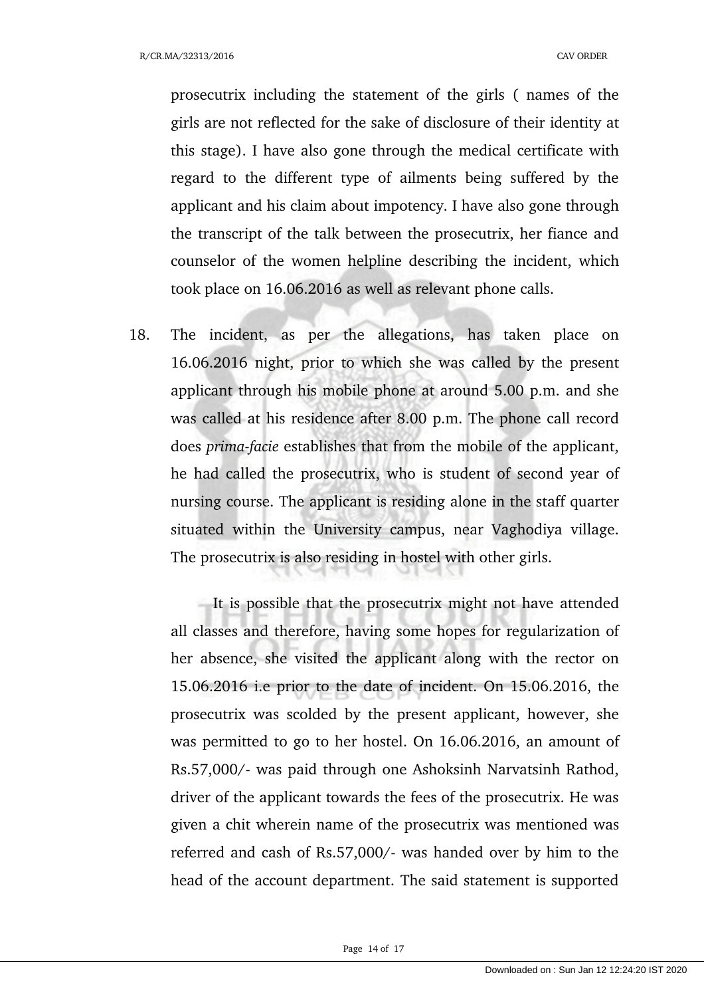prosecutrix including the statement of the girls ( names of the girls are not reflected for the sake of disclosure of their identity at this stage). I have also gone through the medical certificate with regard to the different type of ailments being suffered by the applicant and his claim about impotency. I have also gone through the transcript of the talk between the prosecutrix, her fiance and counselor of the women helpline describing the incident, which took place on 16.06.2016 as well as relevant phone calls.

18. The incident, as per the allegations, has taken place on 16.06.2016 night, prior to which she was called by the present applicant through his mobile phone at around 5.00 p.m. and she was called at his residence after 8.00 p.m. The phone call record does *prima-facie* establishes that from the mobile of the applicant, he had called the prosecutrix, who is student of second year of nursing course. The applicant is residing alone in the staff quarter situated within the University campus, near Vaghodiya village. The prosecutrix is also residing in hostel with other girls.

It is possible that the prosecutrix might not have attended all classes and therefore, having some hopes for regularization of her absence, she visited the applicant along with the rector on 15.06.2016 i.e prior to the date of incident. On 15.06.2016, the prosecutrix was scolded by the present applicant, however, she was permitted to go to her hostel. On 16.06.2016, an amount of Rs.57,000/ was paid through one Ashoksinh Narvatsinh Rathod, driver of the applicant towards the fees of the prosecutrix. He was given a chit wherein name of the prosecutrix was mentioned was referred and cash of Rs.57,000/- was handed over by him to the head of the account department. The said statement is supported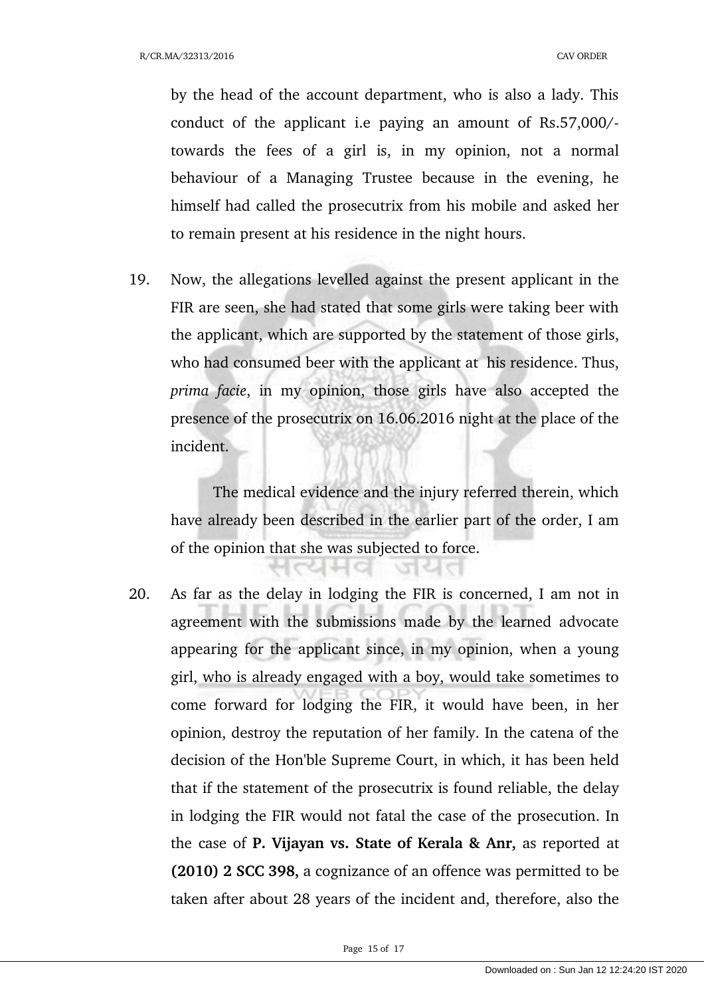by the head of the account department, who is also a lady. This conduct of the applicant i.e paying an amount of Rs.57,000/towards the fees of a girl is, in my opinion, not a normal behaviour of a Managing Trustee because in the evening, he himself had called the prosecutrix from his mobile and asked her to remain present at his residence in the night hours.

19. Now, the allegations levelled against the present applicant in the FIR are seen, she had stated that some girls were taking beer with the applicant, which are supported by the statement of those girls, who had consumed beer with the applicant at his residence. Thus, *prima facie*, in my opinion, those girls have also accepted the presence of the prosecutrix on 16.06.2016 night at the place of the incident.

The medical evidence and the injury referred therein, which have already been described in the earlier part of the order, I am of the opinion that she was subjected to force.

जयत

14 d

20. As far as the delay in lodging the FIR is concerned, I am not in agreement with the submissions made by the learned advocate appearing for the applicant since, in my opinion, when a young girl, who is already engaged with a boy, would take sometimes to come forward for lodging the FIR, it would have been, in her opinion, destroy the reputation of her family. In the catena of the decision of the Hon'ble Supreme Court, in which, it has been held that if the statement of the prosecutrix is found reliable, the delay in lodging the FIR would not fatal the case of the prosecution. In the case of **P. Vijayan vs. State of Kerala & Anr,** as reported at **(2010) 2 SCC 398,** a cognizance of an offence was permitted to be taken after about 28 years of the incident and, therefore, also the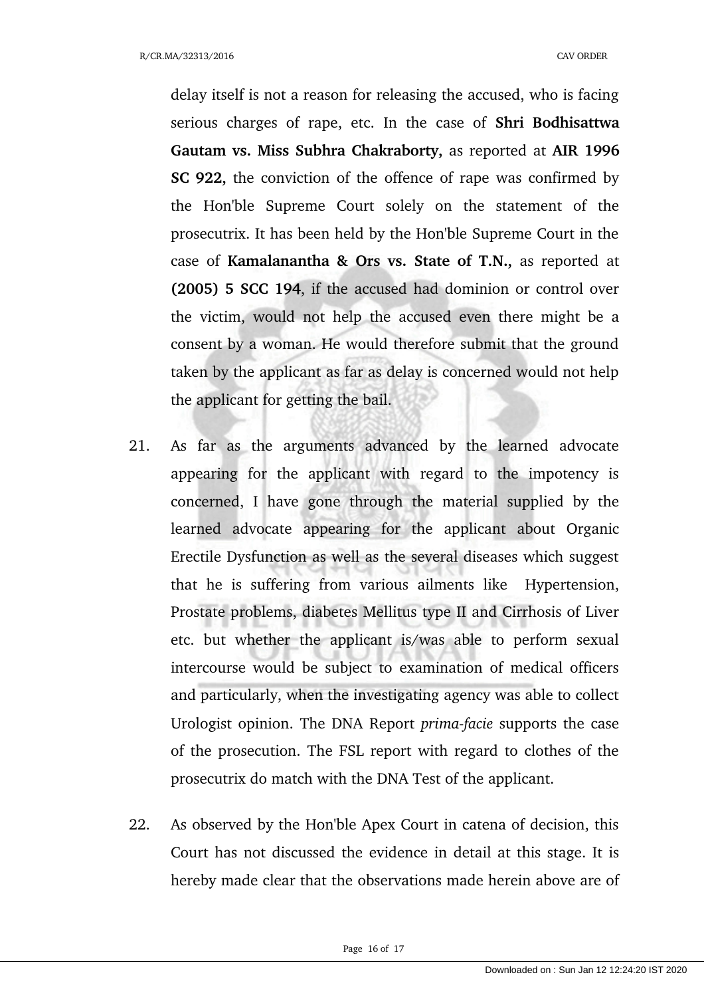delay itself is not a reason for releasing the accused, who is facing serious charges of rape, etc. In the case of **Shri Bodhisattwa Gautam vs. Miss Subhra Chakraborty,** as reported at **AIR 1996 SC 922,** the conviction of the offence of rape was confirmed by the Hon'ble Supreme Court solely on the statement of the prosecutrix. It has been held by the Hon'ble Supreme Court in the case of **Kamalanantha & Ors vs. State of T.N.,** as reported at **(2005) 5 SCC 194**, if the accused had dominion or control over the victim, would not help the accused even there might be a consent by a woman. He would therefore submit that the ground taken by the applicant as far as delay is concerned would not help the applicant for getting the bail.

- 21. As far as the arguments advanced by the learned advocate appearing for the applicant with regard to the impotency is concerned, I have gone through the material supplied by the learned advocate appearing for the applicant about Organic Erectile Dysfunction as well as the several diseases which suggest that he is suffering from various ailments like Hypertension, Prostate problems, diabetes Mellitus type II and Cirrhosis of Liver etc. but whether the applicant is/was able to perform sexual intercourse would be subject to examination of medical officers and particularly, when the investigating agency was able to collect Urologist opinion. The DNA Report *primafacie* supports the case of the prosecution. The FSL report with regard to clothes of the prosecutrix do match with the DNA Test of the applicant.
- 22. As observed by the Hon'ble Apex Court in catena of decision, this Court has not discussed the evidence in detail at this stage. It is hereby made clear that the observations made herein above are of